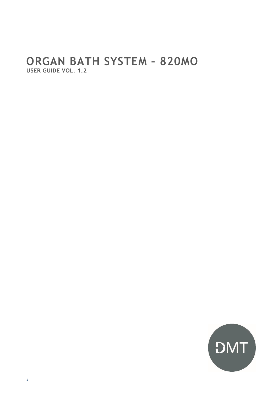## ORGAN BATH SYSTEM - 820MO USER GUIDE VOL. 1.2

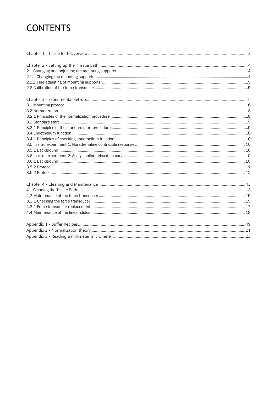# **CONTENTS**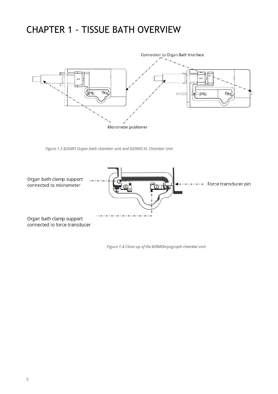## <span id="page-2-0"></span>CHAPTER 1 - TISSUE BATH OVERVIEW



*Figure 1.3 820MO Organ bath chamber unit and 820MO-XL Chamber Unit*



*Figure 1.4 Close up of the 820MOmyograph chamber unit*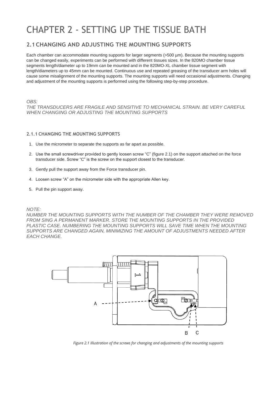## <span id="page-4-0"></span>CHAPTER 2 - SETTING UP THE TISSUE BATH

## <span id="page-4-1"></span>**2.1CHANGING AND ADJUSTING THE MOUNTING SUPPORTS**

Each chamber can accommodate mounting supports for larger segments (>500 µm). Because the mounting supports can be changed easily, experiments can be performed with different tissues sizes. In the 820MO chamber tissue segments length/diameter up to 19mm can be mounted and in the 820MO-XL chamber tissue segment with length/diameters up to 45mm can be mounted. Continuous use and repeated greasing of the transducer arm holes will cause some misalignment of the mounting supports. The mounting supports will need occasional adjustments. Changing and adjustment of the mounting supports is performed using the following step-by-step procedure.

*OBS:*

*THE TRANSDUCERS ARE FRAGILE AND SENSITIVE TO MECHANICAL STRAIN. BE VERY CAREFUL WHEN CHANGING OR ADJUSTING THE MOUNTING SUPPORTS*

#### <span id="page-4-2"></span>**2.1.1 CHANGING THE MOUNTING SUPPORTS**

- 1. Use the micrometer to separate the supports as far apart as possible.
- 2. Use the small screwdriver provided to gently loosen screw "C" (figure 2.1) on the support attached on the force transducer side. Screw "C" is the screw on the support closest to the transducer.
- 3. Gently pull the support away from the Force transducer pin.
- 4. Loosen screw "A" on the micrometer side with the appropriate Allen key.
- 5. Pull the pin support away.

#### *NOTE:*

*NUMBER THE MOUNTING SUPPORTS WITH THE NUMBER OF THE CHAMBER THEY WERE REMOVED*  FROM SING A PERMANENT MARKER. STORE THE MOUNTING SUPPORTS IN THE PROVIDED PLASTIC CASE, NUMBERING THE MOUNTING SUPPORTS WILL SAVE TIME WHEN THE MOUNTING *SUPPORTS ARE CHANGED AGAIN, MINIMIZING THE AMOUNT OF ADJUSTMENTS NEEDED AFTER EACH CHANGE.*



*Figure 2.1 Illustration of the screws for changing and adjustments of the mounting supports*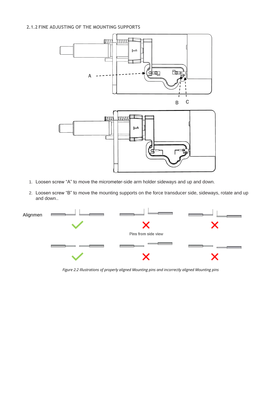### <span id="page-5-0"></span>**2.1.2 FINE ADJUSTING OF THE MOUNTING SUPPORTS**



- 1. Loosen screw "A" to move the micrometer-side arm holder sideways and up and down.
- 2. Loosen screw "B" to move the mounting supports on the force transducer side, sideways, rotate and up and down..



*Figure 2.2 Illustrations of properly aligned Mounting pins and incorrectly aligned Mounting pins*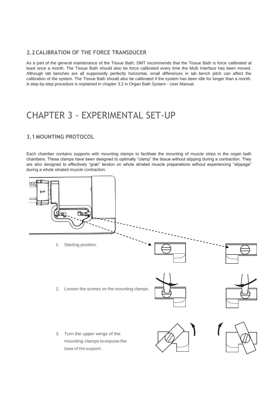## <span id="page-6-0"></span>**2.2 CALIBRATION OF THE FORCE TRANSDUCER**

As a part of the general maintenance of the Tissue Bath, DMT recommends that the Tissue Bath is force calibrated at least once a month. The Tissue Bath should also be force calibrated every time the Multi Interface has been moved. Although lab benches are all supposedly perfectly horizontal, small differences in lab bench pitch can affect the calibration of the system. The Tissue Bath should also be calibrated if the system has been idle for longer than a month. A step-by-step procedure is explained in chapter 3.2 in Organ Bath System - User Manual.

## <span id="page-6-2"></span><span id="page-6-1"></span>CHAPTER 3 - EXPERIMENTAL SET-UP

## **3.1 MOUNTING PROTOCOL**

Each chamber contains supports with mounting clamps to facilitate the mounting of muscle strips in the organ bath chambers. These clamps have been designed to optimally "clamp" the tissue without slipping during a contraction. They are also designed to effectively "grab" tendon on whole striated muscle preparations without experiencing "slippage" during a whole striated muscle contraction.

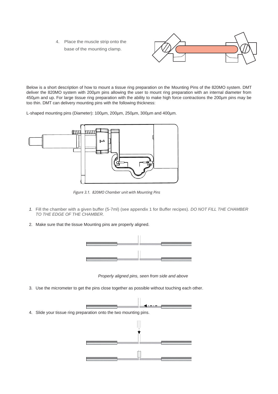4. Place the muscle strip onto the base of the mounting clamp.



Below is a short description of how to mount a tissue ring preparation on the Mounting Pins of the 820MO system. DMT deliver the 820MO system with 200µm pins allowing the user to mount ring preparation with an internal diameter from 450µm and up. For large tissue ring preparation with the ability to make high force contractions the 200µm pins may be too thin. DMT can delivery mounting pins with the following thickness:

L-shaped mounting pins (Diameter): 100µm, 200µm, 250µm, 300µm and 400µm.



*Figure 3.1. 820MO Chamber unit with Mounting Pins*

- *1.* Fill the chamber with a given buffer (5-7ml) (see appendix 1 for Buffer recipes). *DO NOT FILL THE CHAMBER TO THE EDGE OF THE CHAMBER.*
- 2. Make sure that the tissue Mounting pins are properly aligned.



*Properly aligned pins, seen from side and above*

3. Use the micrometer to get the pins close together as possible without touching each other.

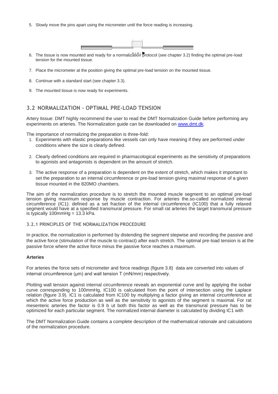5. Slowly move the pins apart using the micrometer until the force reading is increasing.



- 6. The tissue is now mounted and ready for a normalization protocol (see chapter 3.2) finding the optimal pre-load tension for the mounted tissue.
- 7. Place the micrometer at the position giving the optimal pre-load tension on the mounted tissue.
- 8. Continue with a standard start (see chapter 3.3).
- 9. The mounted tissue is now ready for experiments.

## <span id="page-8-0"></span>**3.2 NORMALIZATION – OPTIMAL PRE-LOAD TENSION**

Artery tissue: DMT highly recommend the user to read the DMT Normalization Guide before performing any experiments on arteries. The Normalization guide can be downloaded on [www.dmt.dk.](http://www.dmt.dk/)

The importance of normalizing the preparation is three-fold:

- 1. Experiments with elastic preparations like vessels can only have meaning if they are performed under conditions where the size is clearly defined.
- 2. Clearly defined conditions are required in pharmacological experiments as the sensitivity of preparations to agonists and antagonists is dependent on the amount of stretch.
- 3. The active response of a preparation is dependent on the extent of stretch, which makes it important to set the preparation to an internal circumference or pre-load tension giving maximal response of a given tissue mounted in the 820MO chambers.

The aim of the normalization procedure is to stretch the mounted muscle segment to an optimal pre-load tension giving maximum response by muscle contraction. For arteries the.so-called normalized internal circumference (IC1): defined as a set fraction of the internal circumference (IC100) that a fully relaxed segment would have at a specified transmural pressure. For small rat arteries the target transmural pressure is typically 100mmHg =  $13.3$  kPa.

#### <span id="page-8-1"></span>**3.2.1 PRINCIPLES OF THE NORMALIZATION PROCEDURE**

In practice, the normalization is performed by distending the segment stepwise and recording the passive and the active force (stimulation of the muscle to contract) after each stretch. The optimal pre-load tension is at the passive force where the active force minus the passive force reaches a maximum.

#### **Arteries**

For arteries the force sets of micrometer and force readings (figure 3.8) data are converted into values of internal circumference (μm) and wall tension T (mN/mm) respectively.

Plotting wall tension against internal circumference reveals an exponential curve and by applying the isobar curve corresponding to 100mmHg, IC100 is calculated from the point of intersection using the Laplace relation (figure 3.9). IC1 is calculated from IC100 by multiplying a factor giving an internal circumference at which the active force production as well as the sensitivity to agonists of the segment is maximal. For rat mesenteric arteries the factor is 0.9 b ut both this factor as well as the transmural pressure has to be optimized for each particular segment. The normalized internal diameter is calculated by dividing IC1 with

The DMT Normalization Guide contains a complete description of the mathematical rationale and calculations of the normalization procedure.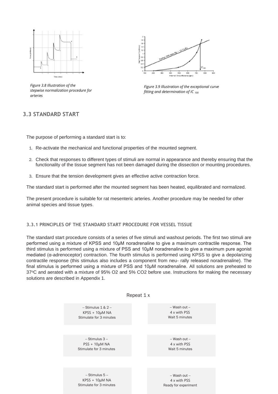

**3.3 STANDARD START** *arteries Figure 3.8 Illustration of the stepwise normalization procedure for* 



*Figure 3.9 Illustration of the exceptional curve fitting and determination of IC 100*

### **3.3 STANDARD START**

The purpose of performing a standard start is to:

- 1. Re-activate the mechanical and functional properties of the mounted segment.
- 2. Check that responses to different types of stimuli are normal in appearance and thereby ensuring that the functionality of the tissue segment has not been damaged during the dissection or mounting procedures.
- 3. Ensure that the tension development gives an effective active contraction force.

The standard start is performed after the mounted segment has been heated, equilibrated and normalized.

The present procedure is suitable for rat mesenteric arteries. Another procedure may be needed for other animal species and tissue types.

#### <span id="page-9-0"></span>**3.3.1 PRINCIPLES OF THE STANDARD START PROCEDURE FOR VESSEL TISSUE**

The standard start procedure consists of a series of five stimuli and washout periods. The first two stimuli are performed using a mixture of KPSS and 10μM noradrenaline to give a maximum contractile response. The third stimulus is performed using a mixture of PSS and 10μM noradrenaline to give a maximum pure agonist mediated (α-adrenoceptor) contraction. The fourth stimulus is performed using KPSS to give a depolarizing contractile response (this stimulus also includes a component from neu- rally released noradrenaline). The final stimulus is performed using a mixture of PSS and 10μM noradrenaline. All solutions are preheated to 37°C and aerated with a mixture of 95% O2 and 5% CO2 before use. Instructions for making the necessary solutions are described in Appendix 1.

| Repeat 1 x              |                      |
|-------------------------|----------------------|
| $-$ Stimulus 1 & 2 $-$  | -- Wash out --       |
| $KPSS + 10\mu M NA$     | 4 x with PSS         |
| Stimulate for 3 minutes | Wait 5 minutes       |
|                         |                      |
| -- Stimulus 3 --        | -- Wash out --       |
| $PSS + 10\mu M NA$      | 4 x with PSS         |
| Stimulate for 3 minutes | Wait 5 minutes       |
|                         |                      |
| $-$ Stimulus 5 $-$      | -- Wash out --       |
| $KPSS + 10\mu M NA$     | 4 x with PSS         |
| Stimulate for 3 minutes | Ready for experiment |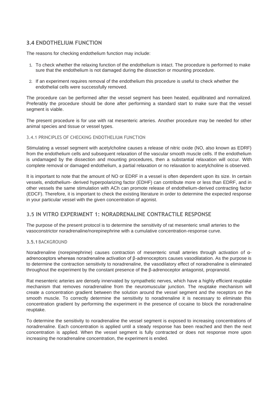## <span id="page-10-0"></span>**3.4 ENDOTHELIUM FUNCTION**

The reasons for checking endothelium function may include:

- 1. To check whether the relaxing function of the endothelium is intact. The procedure is performed to make sure that the endothelium is not damaged during the dissection or mounting procedure.
- 2. If an experiment requires removal of the endothelium this procedure is useful to check whether the endothelial cells were successfully removed.

The procedure can be performed after the vessel segment has been heated, equilibrated and normalized. Preferably the procedure should be done after performing a standard start to make sure that the vessel segment is viable.

The present procedure is for use with rat mesenteric arteries. Another procedure may be needed for other animal species and tissue or vessel types.

### <span id="page-10-1"></span>3.4.1 PRINCIPLES OF CHECKING ENDOTHELIUM FUNCTION

Stimulating a vessel segment with acetylcholine causes a release of nitric oxide (NO, also known as EDRF) from the endothelium cells and subsequent relaxation of the vascular smooth muscle cells. If the endothelium is undamaged by the dissection and mounting procedures, then a substantial relaxation will occur. With complete removal or damaged endothelium, a partial relaxation or no relaxation to acetylcholine is observed.

It is important to note that the amount of NO or EDRF in a vessel is often dependent upon its size. In certain vessels, endothelium- derived hyperpolarizing factor (EDHF) can contribute more or less than EDRF, and in other vessels the same stimulation with ACh can promote release of endothelium-derived contracting factor (EDCF). Therefore, it is important to check the existing literature in order to determine the expected response in your particular vessel with the given concentration of agonist.

## <span id="page-10-2"></span>**3.5 IN VITRO EXPERIMENT 1: NORADRENALINE CONTRACTILE RESPONSE**

The purpose of the present protocol is to determine the sensitivity of rat mesenteric small arteries to the vasoconstrictor noradrenaline/norepinephrine with a cumulative concentration-response curve.

### <span id="page-10-3"></span>**3.5.1** BACKGROUND

Noradrenaline (norepinephrine) causes contraction of mesenteric small arteries through activation of αadrenoceptors whereas noradrenaline activation of β-adrenoceptors causes vasodilatation. As the purpose is to determine the contraction sensitivity to noradrenaline, the vasodilatory effect of noradrenaline is eliminated throughout the experiment by the constant presence of the β-adrenoceptor antagonist, propranolol.

Rat mesenteric arteries are densely innervated by sympathetic nerves, which have a highly efficient reuptake mechanism that removes noradrenaline from the neuromuscular junction. The reuptake mechanism will create a concentration gradient between the solution around the vessel segment and the receptors on the smooth muscle. To correctly determine the sensitivity to noradrenaline it is necessary to eliminate this concentration gradient by performing the experiment in the presence of cocaine to block the noradrenaline reuptake.

To determine the sensitivity to noradrenaline the vessel segment is exposed to increasing concentrations of noradrenaline. Each concentration is applied until a steady response has been reached and then the next concentration is applied. When the vessel segment is fully contracted or does not response more upon increasing the noradrenaline concentration, the experiment is ended.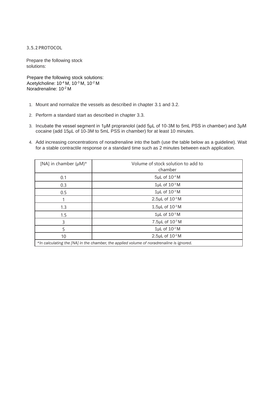<span id="page-11-0"></span>**3.5.2 PROTOCOL**

Prepare the following stock solutions:

 Prepare the following stock solutions: Acetylcholine: 10-4 M, 10-3 M, 10-2 M Noradrenaline: 10-2 M

- 1. Mount and normalize the vessels as described in chapter 3.1 and 3.2.
- 2. Perform a standard start as described in chapter 3.3.
- 3. Incubate the vessel segment in 1μM propranolol (add 5µL of 10-3M to 5mL PSS in chamber) and 3μM cocaine (add 15µL of 10-3M to 5mL PSS in chamber) for at least 10 minutes.
- 4. Add increasing concentrations of noradrenaline into the bath (use the table below as a guideline). Wait for a stable contractile response or a standard time such as 2 minutes between each application.

| [NA] in chamber $(\mu M)^*$                                                              | Volume of stock solution to add to<br>chamber |  |  |  |
|------------------------------------------------------------------------------------------|-----------------------------------------------|--|--|--|
| 0.1                                                                                      | 5µL of 10 <sup>-4</sup> M                     |  |  |  |
| 0.3                                                                                      | $1\mu$ L of $10^{-3}$ M                       |  |  |  |
| 0.5                                                                                      | $1\mu$ L of $10^{-3}$ M                       |  |  |  |
|                                                                                          | $2.5 \mu L$ of $10^{-3} M$                    |  |  |  |
| 1.3                                                                                      | 1.5 $\mu$ L of 10 $\cdot$ 3 M                 |  |  |  |
| 1.5                                                                                      | $1\mu$ L of $10^{-3}$ M                       |  |  |  |
| 3                                                                                        | $7.5 \mu L$ of $10^{-3} M$                    |  |  |  |
| 5                                                                                        | $1\mu$ L of $10^{-2}$ M                       |  |  |  |
| 10                                                                                       | 2.5 $\mu$ L of $10^{-2}$ M                    |  |  |  |
| *In calculating the [NA] in the chamber, the applied volume of noradrenaline is ignored. |                                               |  |  |  |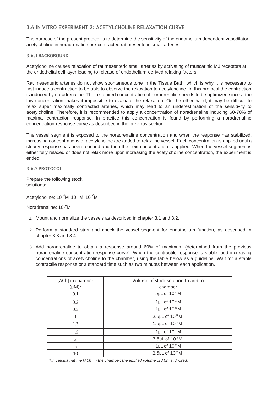### <span id="page-12-0"></span>**3.6 IN VITRO EXPERIMENT 2: ACETYLCHOLINE RELAXATION CURVE**

The purpose of the present protocol is to determine the sensitivity of the endothelium dependent vasodilator acetylcholine in noradrenaline pre-contracted rat mesenteric small arteries.

#### <span id="page-12-1"></span>**3.6.1 BACKGROUND**

Acetylcholine causes relaxation of rat mesenteric small arteries by activating of muscarinic M3 receptors at the endothelial cell layer leading to release of endothelium-derived relaxing factors.

Rat mesenteric arteries do not show spontaneous tone in the Tissue Bath, which is why it is necessary to first induce a contraction to be able to observe the relaxation to acetylcholine. In this protocol the contraction is induced by noradrenaline. The re- quired concentration of noradrenaline needs to be optimized since a too low concentration makes it impossible to evaluate the relaxation. On the other hand, it may be difficult to relax super maximally contracted arteries, which may lead to an underestimation of the sensitivity to acetylcholine. Therefore, it is recommended to apply a concentration of noradrenaline inducing 60-70% of maximal contraction response. In practice this concentration is found by performing a noradrenaline concentration-response curve as described in the previous section.

The vessel segment is exposed to the noradrenaline concentration and when the response has stabilized, increasing concentrations of acetylcholine are added to relax the vessel. Each concentration is applied until a steady response has been reached and then the next concentration is applied. When the vessel segment is either fully relaxed or does not relax more upon increasing the acetylcholine concentration, the experiment is ended.

<span id="page-12-2"></span>**3.6.2 PROTOCOL**

Prepare the following stock solutions:

Acetylcholine: 10<sup>-4</sup>M<sup>,</sup> 10<sup>-3</sup>M<sup>,</sup> 10<sup>-2</sup>M

Noradrenaline: 10- <sup>2</sup>M

- 1. Mount and normalize the vessels as described in chapter 3.1 and 3.2.
- 2. Perform a standard start and check the vessel segment for endothelium function, as described in chapter 3.3 and 3.4.
- 3. Add noradrenaline to obtain a response around 60% of maximum (determined from the previous noradrenaline concentration-response curve). When the contractile response is stable, add increasing concentrations of acetylcholine to the chamber, using the table below as a guideline. Wait for a stable contractile response or a standard time such as two minutes between each application.

| [ACh] in chamber<br>$(\mu M)^*$ | Volume of stock solution to add to<br>chamber                                   |
|---------------------------------|---------------------------------------------------------------------------------|
| 0.1                             | $5\mu$ L of $10^{-4}$ M                                                         |
| 0.3                             | $1\mu$ L of $10^{-3}$ M                                                         |
| 0.5                             | $1\mu$ L of $10^{-3}$ M                                                         |
|                                 | 2.5 $\mu$ L of $10^{-3}$ M                                                      |
| 1.3                             | 1.5 $\mu$ L of $10^{-3}$ M                                                      |
| 1.5                             | $1\mu$ L of $10^{-3}$ M                                                         |
| 3                               | 7.5µL of 10-3M                                                                  |
| 5                               | $1\mu$ L of $10^{-2}$ M                                                         |
| 10                              | 2.5 $\mu$ L of $10^{-2}$ M                                                      |
|                                 | *In calculating the [ACh] in the chamber, the applied volume of ACh is ignored. |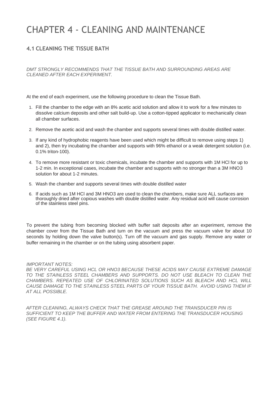## <span id="page-13-0"></span>CHAPTER 4 - CLEANING AND MAINTENANCE

## <span id="page-13-1"></span>**4.1 CLEANING THE TISSUE BATH**

*DMT STRONGLY RECOMMENDS THAT THE TISSUE BATH AND SURROUNDING AREAS ARE CLEANED AFTER EACH EXPERIMENT.*

At the end of each experiment, use the following procedure to clean the Tissue Bath.

- 1. Fill the chamber to the edge with an 8% acetic acid solution and allow it to work for a few minutes to dissolve calcium deposits and other salt build-up. Use a cotton-tipped applicator to mechanically clean all chamber surfaces.
- 2. Remove the acetic acid and wash the chamber and supports several times with double distilled water.
- 3. If any kind of hydrophobic reagents have been used which might be difficult to remove using steps 1) and 2), then try incubating the chamber and supports with 96% ethanol or a weak detergent solution (i.e. 0.1% triton-100).
- 4. To remove more resistant or toxic chemicals, incubate the chamber and supports with 1M HCl for up to 1-2 min. In exceptional cases, incubate the chamber and supports with no stronger than a 3M HNO3 solution for about 1-2 minutes.
- 5. Wash the chamber and supports several times with double distilled water
- 6. If acids such as 1M HCl and 3M HNO3 are used to clean the chambers, make sure ALL surfaces are thoroughly dried after copious washes with double distilled water. Any residual acid will cause corrosion of the stainless steel pins.

To prevent the tubing from becoming blocked with buffer salt deposits after an experiment, remove the chamber cover from the Tissue Bath and turn on the vacuum and press the vacuum valve for about 10 seconds by holding down the valve button(s). Turn off the vacuum and gas supply. Remove any water or buffer remaining in the chamber or on the tubing using absorbent paper.

*IMPORTANT NOTES:*

BE VERY CAREFUL USING HCL OR HNO3 BECAUSE THESE ACIDS MAY CAUSE EXTREME DAMAGE *TO THE STAINLESS STEEL CHAMBERS AND SUPPORTS. DO NOT USE BLEACH TO CLEAN THE CHAMBERS. REPEATED USE OF CHLORINATED SOLUTIONS SUCH AS BLEACH AND HCL WILL CAUSE DAMAGE TO THE STAINLESS STEEL PARTS OF YOUR TISSUE BATH. AVOID USING THEM IF AT ALL POSSIBLE.*

*AFTER CLEANING, ALWAYS CHECK THAT THE GREASE AROUND THE TRANSDUCER PIN IS SUFFICIENT TO KEEP THE BUFFER AND WATER FROM ENTERING THE TRANSDUCER HOUSING (SEE FIGURE 4.1).*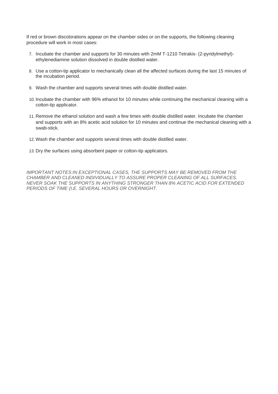If red or brown discolorations appear on the chamber sides or on the supports, the following cleaning procedure will work in most cases:

- 7. Incubate the chamber and supports for 30 minutes with 2mM T-1210 Tetrakis- (2-pyridylmethyl) ethylenediamine solution dissolved in double distilled water.
- 8. Use a cotton-tip applicator to mechanically clean all the affected surfaces during the last 15 minutes of the incubation period.
- 9. Wash the chamber and supports several times with double distilled water.
- 10. Incubate the chamber with 96% ethanol for 10 minutes while continuing the mechanical cleaning with a cotton-tip applicator.
- 11. Remove the ethanol solution and wash a few times with double distilled water. Incubate the chamber and supports with an 8% acetic acid solution for 10 minutes and continue the mechanical cleaning with a swab-stick.
- 12. Wash the chamber and supports several times with double distilled water.
- 13. Dry the surfaces using absorbent paper or cotton-tip applicators.

*IMPORTANT NOTES:IN EXCEPTIONAL CASES, THE SUPPORTS MAY BE REMOVED FROM THE CHAMBER AND CLEANED INDIVIDUALLY TO ASSURE PROPER CLEANING OF ALL SURFACES. NEVER SOAK THE SUPPORTS IN ANYTHING STRONGER THAN 8% ACETIC ACID FOR EXTENDED PERIODS OF TIME (I.E. SEVERAL HOURS OR OVERNIGHT.*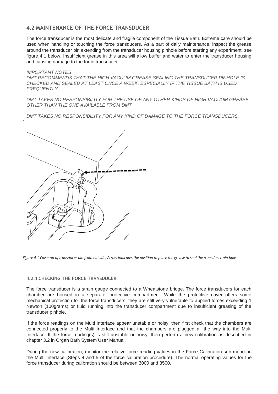## <span id="page-16-0"></span>**4.2 MAINTENANCE OF THE FORCE TRANSDUCER**

The force transducer is the most delicate and fragile component of the Tissue Bath. Extreme care should be used when handling or touching the force transducers. As a part of daily maintenance, inspect the grease around the transducer pin extending from the transducer housing pinhole before starting any experiment, see figure 4.1 below. Insufficient grease in this area will allow buffer and water to enter the transducer housing and causing damage to the force transducer.

#### *IMPORTANT NOTES*

*DMT RECOMMENDS THAT THE HIGH VACUUM GREASE SEALING THE TRANSDUCER PINHOLE IS CHECKED AND SEALED AT LEAST ONCE A WEEK, ESPECIALLY IF THE TISSUE BATH IS USED FREQUENTLY.*

*DMT TAKES NO RESPONSIBILITY FOR THE USE OF ANY OTHER KINDS OF HIGH VACUUM GREASE OTHER THAN THE ONE AVAILABLE FROM DMT.*

*DMT TAKES NO RESPONSIBILITY FOR ANY KIND OF DAMAGE TO THE FORCE TRANSDUCERS.*



*Figure 4.1 Close-up of transducer pin from outside. Arrow indicates the position to place the grease to seal the transducer pin hole*

#### **4.2.1 CHECKING THE FORCE TRANSDUCER**

*.* 

The force transducer is a strain gauge connected to a Wheatstone bridge. The force transducers for each chamber are housed in a separate, protective compartment. While the protective cover offers some mechanical protection for the force transducers, they are still very vulnerable to applied forces exceeding 1 Newton (100grams) or fluid running into the transducer compartment due to insufficient greasing of the transducer pinhole.

If the force readings on the Multi Interface appear unstable or noisy, then first check that the chambers are connected properly to the Multi Interface and that the chambers are plugged all the way into the Multi Interface. If the force reading(s) is still unstable or noisy, then perform a new calibration as described in chapter 3.2 in Organ Bath System User Manual.

During the new calibration, monitor the relative force reading values in the Force Calibration sub-menu on the Multi Interface (Steps 4 and 5 of the force calibration procedure). The normal operating values for the force transducer during calibration should be between 3000 and 3500.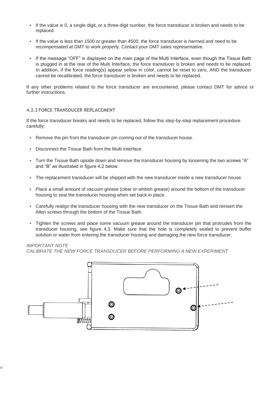- If the value is 0, a single digit, or a three-digit number, the force transducer is broken and needs to be replaced.
- If the value is less than 1500 or greater than 4500, the force transducer is harmed and need to be recompensated at DMT to work properly. Contact your DMT sales representative.
- If the message "OFF" is displayed on the main page of the Multi Interface, even though the Tissue Bath is plugged in at the rear of the Multi Interface, the force transducer is broken and needs to be replaced. In addition, if the force reading(s) appear yellow in color, cannot be reset to zero, AND the transducer cannot be recalibrated, the force transducer is broken and needs to be replaced.

If any other problems related to the force transducer are encountered, please contact DMT for advice or further instructions.

#### **4.2.2 FORCE TRANSDUCER REPLACEMENT**

If the force transducer breaks and needs to be replaced, follow this step-by-step replacement procedure carefully:

- Remove the pin from the transducer pin coming out of the transducer house.
- Disconnect the Tissue Bath from the Multi Interface.
- Turn the Tissue Bath upside down and remove the transducer housing by loosening the two screws "A" and "B" as illustrated in figure 4.2 below.
- The replacement transducer will be shipped with the new transducer inside a new transducer house.
- Place a small amount of vacuum grease (clear or whitish grease) around the bottom of the transducer housing to seal the transducer housing when set back in place.
- Carefully realign the transducer housing with the new transducer on the Tissue Bath and reinsert the Allen screws through the bottom of the Tissue Bath.
- Tighten the screws and place some vacuum grease around the transducer pin that protrudes from the transducer housing, see figure 4.3. Make sure that the hole is completely sealed to prevent buffer solution or water from entering the transducer housing and damaging the new force transducer.

#### *IMPORTANT NOTE*

*CALIBRATE THE NEW FORCE TRANSDUCER BEFORE PERFORMING A NEW EXPERIMENT*

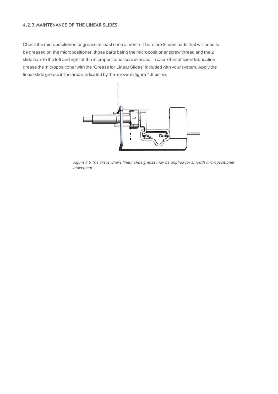### **4.2.3 MAINTENANCE OF THE LINEAR SLIDES**

Check the micropositioner for grease at least once a month. There are 3 main parts that will need to be greased on the micropositioner, those parts being the micropositioner screw thread and the 2 slide bars to the left and right of the micropositioner screw thread. In case of insufficient lubrication, grease the micropositioner with the "Grease for Linear Slides" included with your system. Apply the linear slide grease in the areas indicated by the arrows in figure 4.6 below.



*Figure 4.6 The areas where linear slide grease may be applied for smooth micropositioner movement*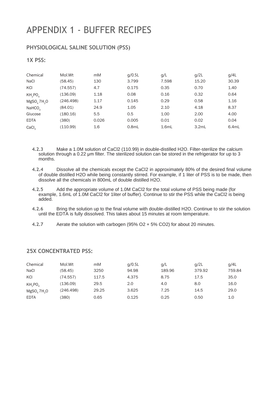## <span id="page-19-0"></span>APPENDIX 1 - BUFFER RECIPES

## **PHYSIOLOGICAL SALINE SOLUTION (PSS)**

## **1X PSS:**

| Chemical                            | Mol.Wt    | mM    | q/0.5L   | q/L   | q/2L  | q/4L  |
|-------------------------------------|-----------|-------|----------|-------|-------|-------|
| <b>NaCl</b>                         | (58.45)   | 130   | 3.799    | 7.598 | 15.20 | 30.39 |
| KCI                                 | (74.557)  | 4.7   | 0.175    | 0.35  | 0.70  | 1.40  |
| KH <sub>2</sub> PO <sub>4</sub>     | (136.09)  | 1.18  | 0.08     | 0.16  | 0.32  | 0.64  |
| MgSO <sub>4</sub> 7H <sub>2</sub> O | (246.498) | 1.17  | 0.145    | 0.29  | 0.58  | 1.16  |
| NAHCO <sub>3</sub>                  | (84.01)   | 24.9  | 1.05     | 2.10  | 4.18  | 8.37  |
| Glucose                             | (180.16)  | 5.5   | 0.5      | 1.00  | 2.00  | 4.00  |
| <b>EDTA</b>                         | (380)     | 0.026 | 0.005    | 0.01  | 0.02  | 0.04  |
| CaCl <sub>2</sub>                   | (110.99)  | 1.6   | $0.8m$ L | 1.6mL | 3.2mL | 6.4mL |

**4.2.3** Make a 1.0M solution of CaCl2 (110.99) in double-distilled H2O. Filter-sterilize the calcium solution through a 0.22 μm filter. The sterilized solution can be stored in the refrigerator for up to 3 months.

- **4.2.4** Dissolve all the chemicals except the CaCl2 in approximately 80% of the desired final volume of double distilled H2O while being constantly stirred. For example, if 1 liter of PSS is to be made, then dissolve all the chemicals in 800mL of double distilled H2O.
- **4.2.5** Add the appropriate volume of 1.0M CaCl2 for the total volume of PSS being made (for example, 1.6mL of 1.0M CaCl2 for 1liter of buffer). Continue to stir the PSS while the CaCl2 is being added.
- **4.2.6** Bring the solution up to the final volume with double-distilled H2O. Continue to stir the solution until the EDTA is fully dissolved. This takes about 15 minutes at room temperature.
- **4.2.7** Aerate the solution with carbogen (95% O2 + 5% CO2) for about 20 minutes.

## **25X CONCENTRATED PSS:**

| Chemical                            | Mol.Wt    | mM    | q/0.5L | g/L    | q/2L   | q/4L   |
|-------------------------------------|-----------|-------|--------|--------|--------|--------|
| <b>NaCl</b>                         | (58.45)   | 3250  | 94.98  | 189.96 | 379.92 | 759.84 |
| KCI                                 | (74.557)  | 117.5 | 4.375  | 8.75   | 17.5   | 35.0   |
| KH, PO                              | (136.09)  | 29.5  | 2.0    | 4.0    | 8.0    | 16.0   |
| MgSO <sub>a</sub> 7H <sub>2</sub> O | (246.498) | 29.25 | 3.625  | 7.25   | 14.5   | 29.0   |
| <b>EDTA</b>                         | 380)      | 0.65  | 0.125  | 0.25   | 0.50   | 1.0    |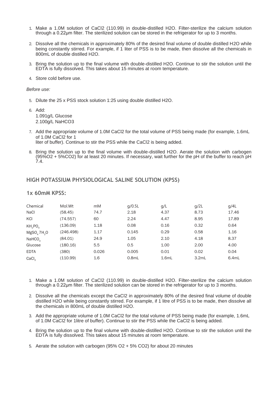- 1. Make a 1.0M solution of CaCl2 (110.99) in double-distilled H2O. Filter-sterilize the calcium solution through a 0.22μm filter. The sterilized solution can be stored in the refrigerator for up to 3 months.
- 2. Dissolve all the chemicals in approximately 80% of the desired final volume of double distilled H2O while being constantly stirred. For example, if 1 liter of PSS is to be made, then dissolve all the chemicals in 800mL of double distilled H2O.
- 3. Bring the solution up to the final volume with double-distilled H2O. Continue to stir the solution until the EDTA is fully dissolved. This takes about 15 minutes at room temperature.
- 4. Store cold before use.

#### *Before use:*

- 5. Dilute the 25 x PSS stock solution 1:25 using double distilled H2O.
- 6. Add: 1.091g/L Glucose 2.100g/L NaHCO3
- 7. Add the appropriate volume of 1.0M CaCl2 for the total volume of PSS being made (for example, 1.6mL of 1.0M CaCl2 for 1 liter of buffer). Continue to stir the PSS while the CaCl2 is being added.
- 8. Bring the solution up to the final volume with double-distilled H2O. Aerate the solution with carbogen (95%O2 + 5%CO2) for at least 20 minutes. If necessary, wait further for the pH of the buffer to reach pH 7.4.

### **HIGH POTASSIUM PHYSIOLOGICAL SALINE SOLUTION (KPSS)**

### **1x 60mM KPSS:**

| Chemical                            | Mol.Wt    | mM    | q/0.5L   | q/L   | q/2L  | q/4L  |
|-------------------------------------|-----------|-------|----------|-------|-------|-------|
| <b>NaCl</b>                         | (58.45)   | 74.7  | 2.18     | 4.37  | 8.73  | 17.46 |
| KCI                                 | (74.557)  | 60    | 2.24     | 4.47  | 8.95  | 17.89 |
| KH <sub>2</sub> PO <sub>4</sub>     | (136.09)  | 1.18  | 0.08     | 0.16  | 0.32  | 0.64  |
| MgSO <sub>a</sub> 7H <sub>2</sub> O | (246.498) | 1.17  | 0.145    | 0.29  | 0.58  | 1.16  |
| NAHCO <sub>3</sub>                  | (84.01)   | 24.9  | 1.05     | 2.10  | 4.18  | 8.37  |
| Glucose                             | (180.16)  | 5.5   | 0.5      | 1.00  | 2.00  | 4.00  |
| <b>EDTA</b>                         | (380)     | 0.026 | 0.005    | 0.01  | 0.02  | 0.04  |
| CaCl <sub>2</sub>                   | (110.99)  | 1.6   | $0.8m$ L | 1.6mL | 3.2mL | 6.4mL |

- 1. Make a 1.0M solution of CaCl2 (110.99) in double-distilled H2O. Filter-sterilize the calcium solution through a 0.22μm filter. The sterilized solution can be stored in the refrigerator for up to 3 months.
- 2. Dissolve all the chemicals except the CaCl2 in approximately 80% of the desired final volume of double distilled H2O while being constantly stirred. For example, if 1 litre of PSS is to be made, then dissolve all the chemicals in 800mL of double distilled H2O.
- 3. Add the appropriate volume of 1.0M CaCl2 for the total volume of PSS being made (for example, 1.6mL of 1.0M CaCl2 for 1litre of buffer). Continue to stir the PSS while the CaCl2 is being added.
- 4. Bring the solution up to the final volume with double-distilled H2O. Continue to stir the solution until the EDTA is fully dissolved. This takes about 15 minutes at room temperature.
- 5. Aerate the solution with carbogen (95% O2 + 5% CO2) for about 20 minutes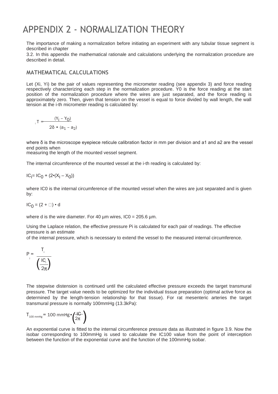## <span id="page-21-0"></span>APPENDIX 2 - NORMALIZATION THEORY

The importance of making a normalization before initiating an experiment with any tubular tissue segment is described in chapter

3.2. In this appendix the mathematical rationale and calculations underlying the normalization procedure are described in detail.

## **MATHEMATICAL CALCULATIONS**

Let (Xi, Yi) be the pair of values representing the micrometer reading (see appendix 3) and force reading respectively characterizing each step in the normalization procedure. Y0 is the force reading at the start position of the normalization procedure where the wires are just separated, and the force reading is approximately zero. Then, given that tension on the vessel is equal to force divided by wall length, the wall tension at the i-th micrometer reading is calculated by:

$$
T = \frac{(Y_1 - Y_0)}{2\delta \cdot (a_1 - a_2)}
$$

where δ is the microscope eyepiece reticule calibration factor in mm per division and a1 and a2 are the vessel end points when

measuring the length of the mounted vessel segment.

The internal circumference of the mounted vessel at the i-th reading is calculated by:

 $IC_{\mathsf{i}} = IC_{0} + (2\cdot(X_{\mathsf{i}} - X_{0}))$ 

where IC0 is the internal circumference of the mounted vessel when the wires are just separated and is given by:

 $IC<sub>0</sub> = (2 + \square) \cdot d$ 

where d is the wire diameter. For 40  $\mu$ m wires, IC0 = 205.6  $\mu$ m.

Using the Laplace relation, the effective pressure Pi is calculated for each pair of readings. The effective pressure is an estimate

of the internal pressure, which is necessary to extend the vessel to the measured internal circumference.



The stepwise distension is continued until the calculated effective pressure exceeds the target transmural pressure. The target value needs to be optimized for the individual tissue preparation (optimal active force as determined by the length-tension relationship for that tissue). For rat mesenteric arteries the target transmural pressure is normally 100mmHg (13.3kPa):

$$
T_{100\,\text{mmHg}} = 100\,\text{mmHg} \cdot \left(\frac{H}{2\pi}\right)
$$

An exponential curve is fitted to the internal circumference pressure data as illustrated in figure 3.9. Now the isobar corresponding to 100mmHg is used to calculate the IC100 value from the point of interception between the function of the exponential curve and the function of the 100mmHg isobar.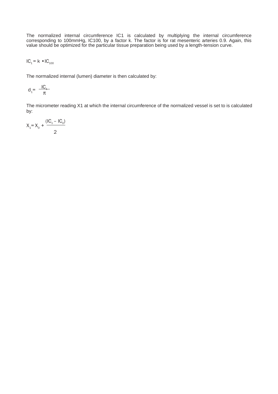The normalized internal circumference IC1 is calculated by multiplying the internal circumference corresponding to 100mmHg, IC100, by a factor k. The factor is for rat mesenteric arteries 0.9. Again, this value should be optimized for the particular tissue preparation being used by a length-tension curve.

$$
IC_1 = k \cdot IC_{100}
$$

The normalized internal (lumen) diameter is then calculated by:

$$
d_1 = \frac{IC_4}{\pi}
$$

The micrometer reading X1 at which the internal circumference of the normalized vessel is set to is calculated by:

$$
X_1 = X_0 + \frac{(IC_1 - IC_0)}{2}
$$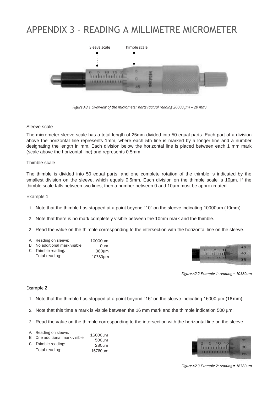## <span id="page-23-0"></span>APPENDIX 3 - READING A MILLIMETRE MICROMETER



*Figure A3.1 Overview of the micrometer parts (actual reading 20000 µm = 20 mm)*

#### Sleeve scale

The micrometer sleeve scale has a total length of 25mm divided into 50 equal parts. Each part of a division above the horizontal line represents 1mm, where each 5th line is marked by a longer line and a number designating the length in mm. Each division below the horizontal line is placed between each 1 mm mark (scale above the horizontal line) and represents 0.5mm.

#### Thimble scale

The thimble is divided into 50 equal parts, and one complete rotation of the thimble is indicated by the smallest division on the sleeve, which equals 0.5mm. Each division on the thimble scale is 10µm. If the thimble scale falls between two lines, then a number between 0 and 10µm must be approximated.

Example 1

- 1. Note that the thimble has stopped at a point beyond "10" on the sleeve indicating 10000µm (10mm).
- 2. Note that there is no mark completely visible between the 10mm mark and the thimble.

10380µm

- 3. Read the value on the thimble corresponding to the intersection with the horizontal line on the sleeve.
- A. Reading on sleeve: B. No additional mark visible: C. Thimble reading: Total reading: 10000µm 0µm 380µm



*Figure A2.2 Example 1: reading = 10380um*

#### Example 2

- 1. Note that the thimble has stopped at a point beyond "16" on the sleeve indicating 16000 µm (16 mm).
- 2. Note that this time a mark is visible between the 16 mm mark and the thimble indication 500  $\mu$ m.
- 3. Read the value on the thimble corresponding to the intersection with the horizontal line on the sleeve.
- A. Reading on sleeve: 16000µm
- B. One additional mark visible: 500µm
- C. Thimble reading: Total reading: 280µm 16780µm



*Figure A2.3 Example 2: reading = 16780um*